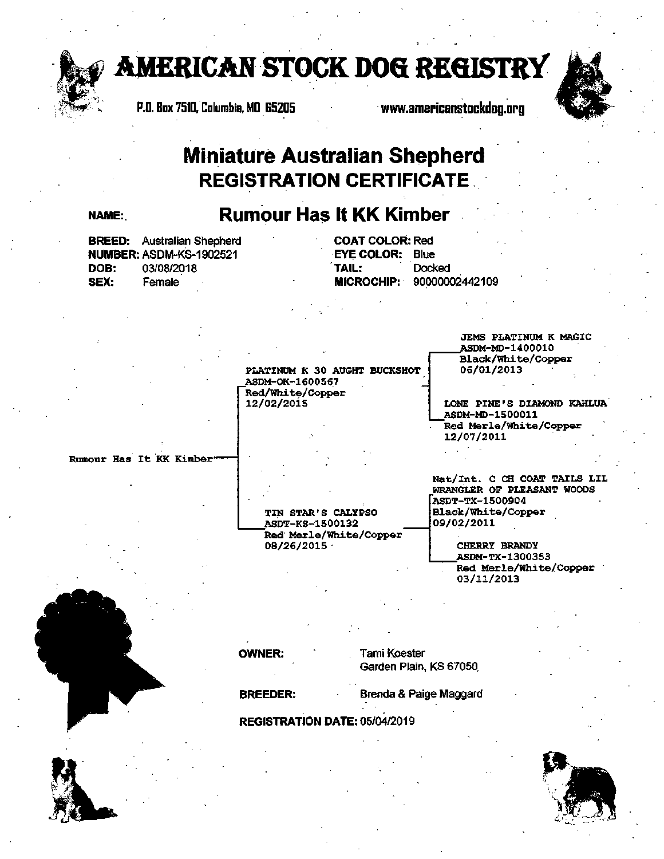

**AMERICAN STOCK DOG REGISTRY**<br>P.D. Box 7510, Columbia, MD 65205<br>WWW.americanstockdog.org

P.O. Box 7510, Columbia, MD 65205



## **Miniature Australian Shepherd REGISTRATION CERTIFICATE**

## NAME: **Rumour Has It KK Kimber**

PLATINUM K 30 AUGHT BUCKSHOT

ASDM-OK-1600567 Red/White/Copper 12/02/2015

| <b>BREED:</b> Australian Shepherd |                                |  | <b>COAT COLOR: Red</b> |                           |  |
|-----------------------------------|--------------------------------|--|------------------------|---------------------------|--|
|                                   | <b>NUMBER: ASDM-KS-1902521</b> |  | <b>EYE COLOR: Blue</b> |                           |  |
| DOB:                              | 03/08/2018                     |  | TAIL:                  | Docked                    |  |
| SEX:                              | Female                         |  |                        | MICROCHIP: 90000002442109 |  |
|                                   |                                |  |                        |                           |  |

JEMS PLATINUM K MAGIC ASDM-MD-14000.10 Black/White/Copper 06/01/2013

LONE PINE'S DIAMOND KAHLUA ASDM-MD-1500011 Red Merle/White/Copper 12/07/2011 .

Rumour Has It KK Kimber

TIN STAR'S CALYPSO ASDT-KS-1500132 Red·Merle/White/Copper 08/26/2015 ·

WRANGLER OF PLEASANT WOODS ASDT-TX-1500904 Black/White/Copper 09/02/2011

Nat/Int. C CH COAT TAILS LIL

CHERRY BRANDY ASDM-TX-1300353 Red Merle/White/Copper 03/11/2013

**OWNER:** Tami Koester Garden Plain, KS 67050.

**BREEDER:** Brenda & Paige Maggard

. . **REGISTRATION DATE:** 05/04/2019